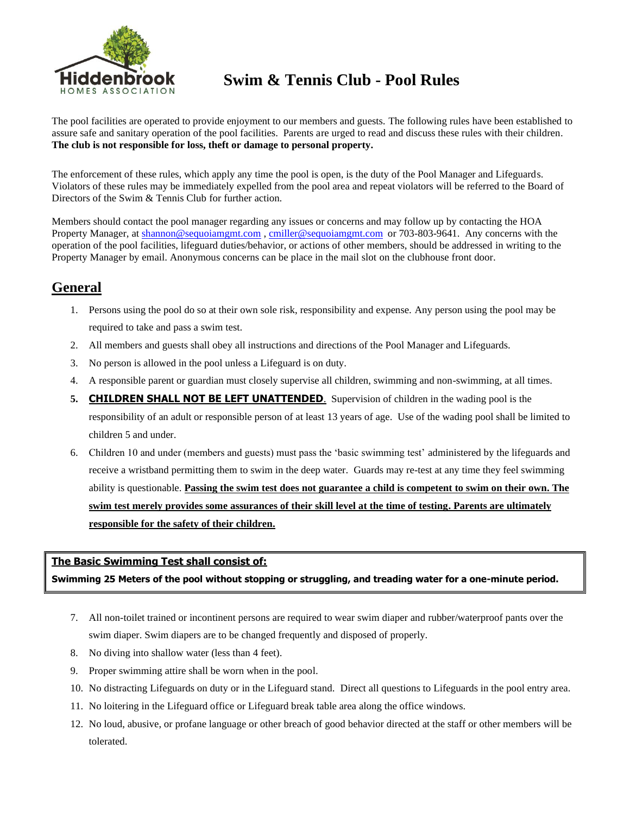

# **Hiddenbrook** Swim & Tennis Club - Pool Rules

The pool facilities are operated to provide enjoyment to our members and guests. The following rules have been established to assure safe and sanitary operation of the pool facilities. Parents are urged to read and discuss these rules with their children. **The club is not responsible for loss, theft or damage to personal property.**

The enforcement of these rules, which apply any time the pool is open, is the duty of the Pool Manager and Lifeguards. Violators of these rules may be immediately expelled from the pool area and repeat violators will be referred to the Board of Directors of the Swim & Tennis Club for further action.

Members should contact the pool manager regarding any issues or concerns and may follow up by contacting the HOA Property Manager, a[t shannon@sequoiamgmt.com](mailto:shannon@sequoiamgmt.com) , [cmiller@sequoiamgmt.com](mailto:cmiller@sequoiamgmt.com) or 703-803-9641. Any concerns with the operation of the pool facilities, lifeguard duties/behavior, or actions of other members, should be addressed in writing to the Property Manager by email. Anonymous concerns can be place in the mail slot on the clubhouse front door.

# **General**

- 1. Persons using the pool do so at their own sole risk, responsibility and expense. Any person using the pool may be required to take and pass a swim test.
- 2. All members and guests shall obey all instructions and directions of the Pool Manager and Lifeguards.
- 3. No person is allowed in the pool unless a Lifeguard is on duty.
- 4. A responsible parent or guardian must closely supervise all children, swimming and non-swimming, at all times.
- **5. CHILDREN SHALL NOT BE LEFT UNATTENDED**. Supervision of children in the wading pool is the responsibility of an adult or responsible person of at least 13 years of age. Use of the wading pool shall be limited to children 5 and under.
- 6. Children 10 and under (members and guests) must pass the 'basic swimming test' administered by the lifeguards and receive a wristband permitting them to swim in the deep water. Guards may re-test at any time they feel swimming ability is questionable. **Passing the swim test does not guarantee a child is competent to swim on their own. The swim test merely provides some assurances of their skill level at the time of testing. Parents are ultimately responsible for the safety of their children.**

#### **The Basic Swimming Test shall consist of:**

**Swimming 25 Meters of the pool without stopping or struggling, and treading water for a one-minute period.**

- 7. All non-toilet trained or incontinent persons are required to wear swim diaper and rubber/waterproof pants over the swim diaper. Swim diapers are to be changed frequently and disposed of properly.
- 8. No diving into shallow water (less than 4 feet).
- 9. Proper swimming attire shall be worn when in the pool.
- 10. No distracting Lifeguards on duty or in the Lifeguard stand. Direct all questions to Lifeguards in the pool entry area.
- 11. No loitering in the Lifeguard office or Lifeguard break table area along the office windows.
- 12. No loud, abusive, or profane language or other breach of good behavior directed at the staff or other members will be tolerated.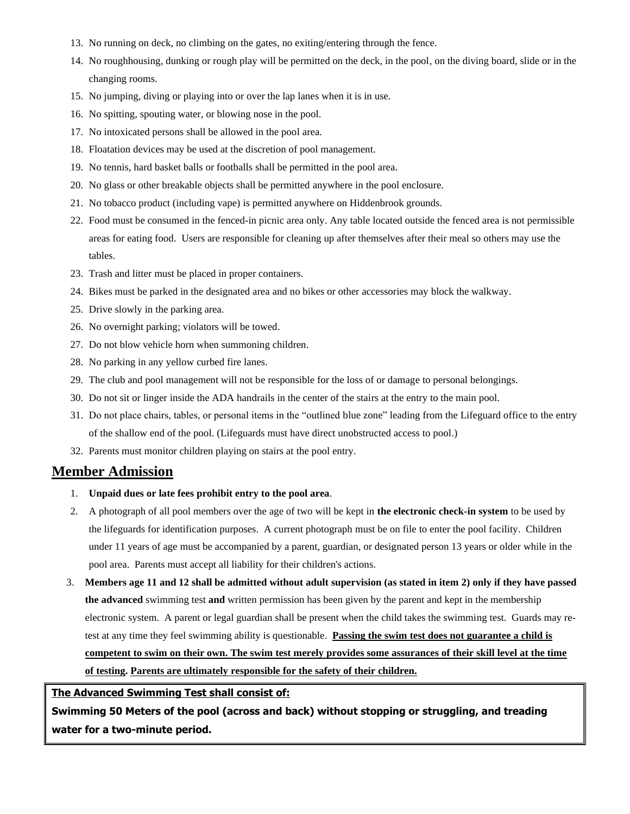- 13. No running on deck, no climbing on the gates, no exiting/entering through the fence.
- 14. No roughhousing, dunking or rough play will be permitted on the deck, in the pool, on the diving board, slide or in the changing rooms.
- 15. No jumping, diving or playing into or over the lap lanes when it is in use.
- 16. No spitting, spouting water, or blowing nose in the pool.
- 17. No intoxicated persons shall be allowed in the pool area.
- 18. Floatation devices may be used at the discretion of pool management.
- 19. No tennis, hard basket balls or footballs shall be permitted in the pool area.
- 20. No glass or other breakable objects shall be permitted anywhere in the pool enclosure.
- 21. No tobacco product (including vape) is permitted anywhere on Hiddenbrook grounds.
- 22. Food must be consumed in the fenced-in picnic area only. Any table located outside the fenced area is not permissible areas for eating food. Users are responsible for cleaning up after themselves after their meal so others may use the tables.
- 23. Trash and litter must be placed in proper containers.
- 24. Bikes must be parked in the designated area and no bikes or other accessories may block the walkway.
- 25. Drive slowly in the parking area.
- 26. No overnight parking; violators will be towed.
- 27. Do not blow vehicle horn when summoning children.
- 28. No parking in any yellow curbed fire lanes.
- 29. The club and pool management will not be responsible for the loss of or damage to personal belongings.
- 30. Do not sit or linger inside the ADA handrails in the center of the stairs at the entry to the main pool.
- 31. Do not place chairs, tables, or personal items in the "outlined blue zone" leading from the Lifeguard office to the entry of the shallow end of the pool. (Lifeguards must have direct unobstructed access to pool.)
- 32. Parents must monitor children playing on stairs at the pool entry.

#### **Member Admission**

- 1. **Unpaid dues or late fees prohibit entry to the pool area**.
- 2. A photograph of all pool members over the age of two will be kept in **the electronic check-in system** to be used by the lifeguards for identification purposes. A current photograph must be on file to enter the pool facility. Children under 11 years of age must be accompanied by a parent, guardian, or designated person 13 years or older while in the pool area. Parents must accept all liability for their children's actions.
- 3. **Members age 11 and 12 shall be admitted without adult supervision (as stated in item 2) only if they have passed the advanced** swimming test **and** written permission has been given by the parent and kept in the membership electronic system. A parent or legal guardian shall be present when the child takes the swimming test. Guards may retest at any time they feel swimming ability is questionable. **Passing the swim test does not guarantee a child is competent to swim on their own. The swim test merely provides some assurances of their skill level at the time of testing. Parents are ultimately responsible for the safety of their children.**

#### **The Advanced Swimming Test shall consist of:**

**Swimming 50 Meters of the pool (across and back) without stopping or struggling, and treading water for a two-minute period.**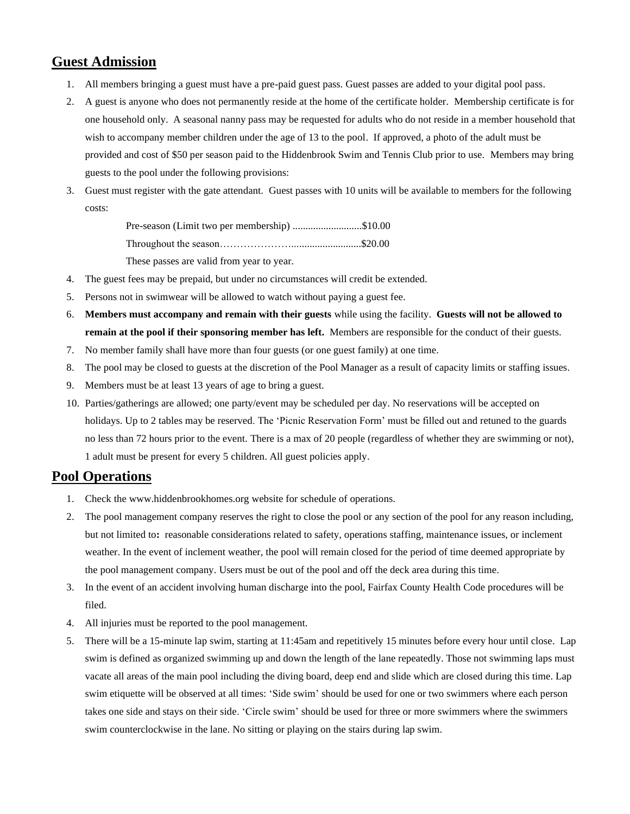## **Guest Admission**

- 1. All members bringing a guest must have a pre-paid guest pass. Guest passes are added to your digital pool pass.
- 2. A guest is anyone who does not permanently reside at the home of the certificate holder. Membership certificate is for one household only. A seasonal nanny pass may be requested for adults who do not reside in a member household that wish to accompany member children under the age of 13 to the pool. If approved, a photo of the adult must be provided and cost of \$50 per season paid to the Hiddenbrook Swim and Tennis Club prior to use. Members may bring guests to the pool under the following provisions:
- 3. Guest must register with the gate attendant. Guest passes with 10 units will be available to members for the following costs:

Pre-season (Limit two per membership) ..........................\$10.00 Throughout the season…………………...........................\$20.00 These passes are valid from year to year.

- 4. The guest fees may be prepaid, but under no circumstances will credit be extended.
- 5. Persons not in swimwear will be allowed to watch without paying a guest fee.
- 6. **Members must accompany and remain with their guests** while using the facility. **Guests will not be allowed to remain at the pool if their sponsoring member has left.** Members are responsible for the conduct of their guests.
- 7. No member family shall have more than four guests (or one guest family) at one time.
- 8. The pool may be closed to guests at the discretion of the Pool Manager as a result of capacity limits or staffing issues.
- 9. Members must be at least 13 years of age to bring a guest.
- 10. Parties/gatherings are allowed; one party/event may be scheduled per day. No reservations will be accepted on holidays. Up to 2 tables may be reserved. The 'Picnic Reservation Form' must be filled out and retuned to the guards no less than 72 hours prior to the event. There is a max of 20 people (regardless of whether they are swimming or not), 1 adult must be present for every 5 children. All guest policies apply.

### **Pool Operations**

- 1. Check the [www.hiddenbrookhomes.org](http://www.hiddenbrookhomes.org/) website for schedule of operations.
- 2. The pool management company reserves the right to close the pool or any section of the pool for any reason including, but not limited to**:** reasonable considerations related to safety, operations staffing, maintenance issues, or inclement weather. In the event of inclement weather, the pool will remain closed for the period of time deemed appropriate by the pool management company. Users must be out of the pool and off the deck area during this time.
- 3. In the event of an accident involving human discharge into the pool, Fairfax County Health Code procedures will be filed.
- 4. All injuries must be reported to the pool management.
- 5. There will be a 15-minute lap swim, starting at 11:45am and repetitively 15 minutes before every hour until close. Lap swim is defined as organized swimming up and down the length of the lane repeatedly. Those not swimming laps must vacate all areas of the main pool including the diving board, deep end and slide which are closed during this time. Lap swim etiquette will be observed at all times: 'Side swim' should be used for one or two swimmers where each person takes one side and stays on their side. 'Circle swim' should be used for three or more swimmers where the swimmers swim counterclockwise in the lane. No sitting or playing on the stairs during lap swim.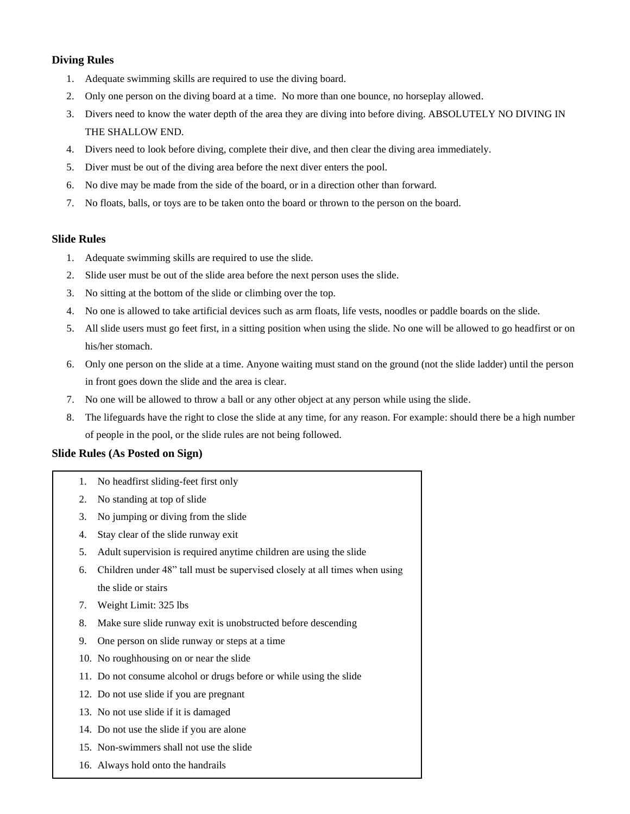#### **Diving Rules**

- 1. Adequate swimming skills are required to use the diving board.
- 2. Only one person on the diving board at a time. No more than one bounce, no horseplay allowed.
- 3. Divers need to know the water depth of the area they are diving into before diving. ABSOLUTELY NO DIVING IN THE SHALLOW END.
- 4. Divers need to look before diving, complete their dive, and then clear the diving area immediately.
- 5. Diver must be out of the diving area before the next diver enters the pool.
- 6. No dive may be made from the side of the board, or in a direction other than forward.
- 7. No floats, balls, or toys are to be taken onto the board or thrown to the person on the board.

#### **Slide Rules**

- 1. Adequate swimming skills are required to use the slide.
- 2. Slide user must be out of the slide area before the next person uses the slide.
- 3. No sitting at the bottom of the slide or climbing over the top.
- 4. No one is allowed to take artificial devices such as arm floats, life vests, noodles or paddle boards on the slide.
- 5. All slide users must go feet first, in a sitting position when using the slide. No one will be allowed to go headfirst or on his/her stomach.
- 6. Only one person on the slide at a time. Anyone waiting must stand on the ground (not the slide ladder) until the person in front goes down the slide and the area is clear.
- 7. No one will be allowed to throw a ball or any other object at any person while using the slide.
- 8. The lifeguards have the right to close the slide at any time, for any reason. For example: should there be a high number of people in the pool, or the slide rules are not being followed.

#### **Slide Rules (As Posted on Sign)**

- 1. No headfirst sliding-feet first only
- 2. No standing at top of slide
- 3. No jumping or diving from the slide
- 4. Stay clear of the slide runway exit
- 5. Adult supervision is required anytime children are using the slide
- 6. Children under 48" tall must be supervised closely at all times when using the slide or stairs

17. People with medical conditions should consult their physician before using

- 7. Weight Limit: 325 lbs
- 8. Make sure slide runway exit is unobstructed before descending
- 9. One person on slide runway or steps at a time
- 10. No roughhousing on or near the slide
- 11. Do not consume alcohol or drugs before or while using the slide
- 12. Do not use slide if you are pregnant
- 13. No not use slide if it is damaged
- 14. Do not use the slide if you are alone
- 15. Non-swimmers shall not use the slide
- 16. Always hold onto the handrails